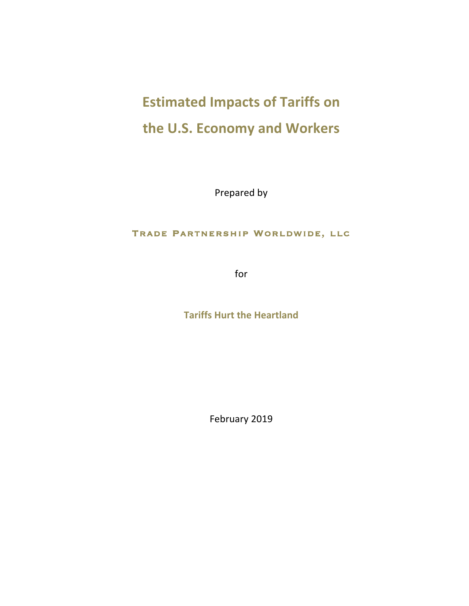# **Estimated Impacts of Tariffs on** the U.S. Economy and Workers

Prepared by

# Trade Partnership Worldwide, llc

for 

**Tariffs Hurt the Heartland** 

February 2019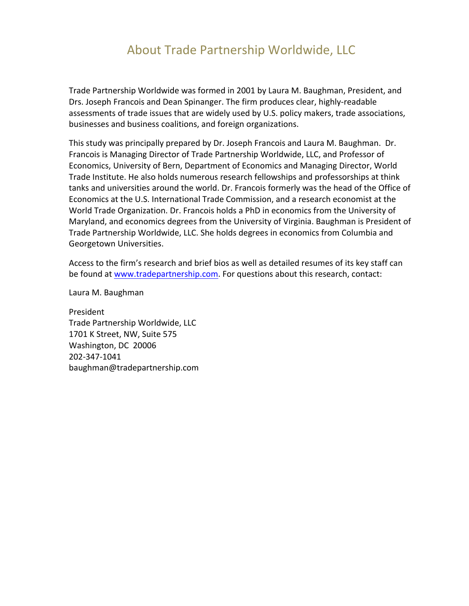# About Trade Partnership Worldwide, LLC

Trade Partnership Worldwide was formed in 2001 by Laura M. Baughman, President, and Drs. Joseph Francois and Dean Spinanger. The firm produces clear, highly-readable assessments of trade issues that are widely used by U.S. policy makers, trade associations, businesses and business coalitions, and foreign organizations.

This study was principally prepared by Dr. Joseph Francois and Laura M. Baughman. Dr. Francois is Managing Director of Trade Partnership Worldwide, LLC, and Professor of Economics, University of Bern, Department of Economics and Managing Director, World Trade Institute. He also holds numerous research fellowships and professorships at think tanks and universities around the world. Dr. Francois formerly was the head of the Office of Economics at the U.S. International Trade Commission, and a research economist at the World Trade Organization. Dr. Francois holds a PhD in economics from the University of Maryland, and economics degrees from the University of Virginia. Baughman is President of Trade Partnership Worldwide, LLC. She holds degrees in economics from Columbia and Georgetown Universities.

Access to the firm's research and brief bios as well as detailed resumes of its key staff can be found at www.tradepartnership.com. For questions about this research, contact:

Laura M. Baughman

President Trade Partnership Worldwide, LLC 1701 K Street, NW, Suite 575 Washington, DC 20006 202-347-1041 baughman@tradepartnership.com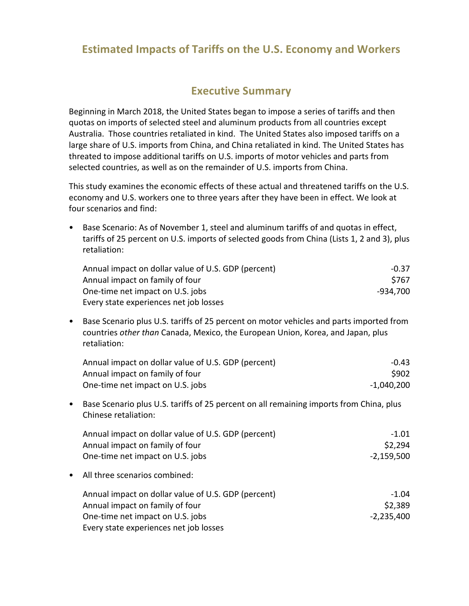# **Estimated Impacts of Tariffs on the U.S. Economy and Workers**

# **Executive Summary**

Beginning in March 2018, the United States began to impose a series of tariffs and then quotas on imports of selected steel and aluminum products from all countries except Australia. Those countries retaliated in kind. The United States also imposed tariffs on a large share of U.S. imports from China, and China retaliated in kind. The United States has threated to impose additional tariffs on U.S. imports of motor vehicles and parts from selected countries, as well as on the remainder of U.S. imports from China.

This study examines the economic effects of these actual and threatened tariffs on the U.S. economy and U.S. workers one to three years after they have been in effect. We look at four scenarios and find:

| Base Scenario: As of November 1, steel and aluminum tariffs of and quotas in effect,<br>tariffs of 25 percent on U.S. imports of selected goods from China (Lists 1, 2 and 3), plus<br>retaliation: |                                                                                                                                                                                            |              |
|-----------------------------------------------------------------------------------------------------------------------------------------------------------------------------------------------------|--------------------------------------------------------------------------------------------------------------------------------------------------------------------------------------------|--------------|
|                                                                                                                                                                                                     | Annual impact on dollar value of U.S. GDP (percent)                                                                                                                                        | $-0.37$      |
|                                                                                                                                                                                                     | Annual impact on family of four                                                                                                                                                            | \$767        |
|                                                                                                                                                                                                     | One-time net impact on U.S. jobs                                                                                                                                                           | $-934,700$   |
|                                                                                                                                                                                                     | Every state experiences net job losses                                                                                                                                                     |              |
| ٠                                                                                                                                                                                                   | Base Scenario plus U.S. tariffs of 25 percent on motor vehicles and parts imported from<br>countries other than Canada, Mexico, the European Union, Korea, and Japan, plus<br>retaliation: |              |
|                                                                                                                                                                                                     | Annual impact on dollar value of U.S. GDP (percent)                                                                                                                                        | $-0.43$      |
|                                                                                                                                                                                                     | Annual impact on family of four                                                                                                                                                            | \$902        |
|                                                                                                                                                                                                     | One-time net impact on U.S. jobs                                                                                                                                                           | $-1,040,200$ |
| ٠                                                                                                                                                                                                   | Base Scenario plus U.S. tariffs of 25 percent on all remaining imports from China, plus<br>Chinese retaliation:                                                                            |              |
|                                                                                                                                                                                                     | Annual impact on dollar value of U.S. GDP (percent)                                                                                                                                        | $-1.01$      |
|                                                                                                                                                                                                     | Annual impact on family of four                                                                                                                                                            | \$2,294      |
|                                                                                                                                                                                                     | One-time net impact on U.S. jobs                                                                                                                                                           | $-2,159,500$ |
|                                                                                                                                                                                                     | All three scenarios combined:                                                                                                                                                              |              |
|                                                                                                                                                                                                     | Annual impact on dollar value of U.S. GDP (percent)                                                                                                                                        | $-1.04$      |
|                                                                                                                                                                                                     | Annual impact on family of four                                                                                                                                                            | \$2,389      |
|                                                                                                                                                                                                     | One-time net impact on U.S. jobs                                                                                                                                                           | $-2,235,400$ |
|                                                                                                                                                                                                     | Every state experiences net job losses                                                                                                                                                     |              |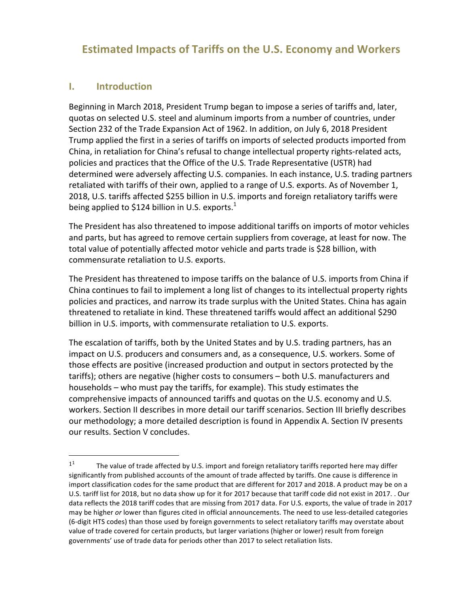# **Estimated Impacts of Tariffs on the U.S. Economy and Workers**

#### **I. Introduction**

 

Beginning in March 2018, President Trump began to impose a series of tariffs and, later, quotas on selected U.S. steel and aluminum imports from a number of countries, under Section 232 of the Trade Expansion Act of 1962. In addition, on July 6, 2018 President Trump applied the first in a series of tariffs on imports of selected products imported from China, in retaliation for China's refusal to change intellectual property rights-related acts, policies and practices that the Office of the U.S. Trade Representative (USTR) had determined were adversely affecting U.S. companies. In each instance, U.S. trading partners retaliated with tariffs of their own, applied to a range of U.S. exports. As of November 1, 2018, U.S. tariffs affected \$255 billion in U.S. imports and foreign retaliatory tariffs were being applied to \$124 billion in U.S. exports.<sup>1</sup>

The President has also threatened to impose additional tariffs on imports of motor vehicles and parts, but has agreed to remove certain suppliers from coverage, at least for now. The total value of potentially affected motor vehicle and parts trade is \$28 billion, with commensurate retaliation to U.S. exports.

The President has threatened to impose tariffs on the balance of U.S. imports from China if China continues to fail to implement a long list of changes to its intellectual property rights policies and practices, and narrow its trade surplus with the United States. China has again threatened to retaliate in kind. These threatened tariffs would affect an additional \$290 billion in U.S. imports, with commensurate retaliation to U.S. exports.

The escalation of tariffs, both by the United States and by U.S. trading partners, has an impact on U.S. producers and consumers and, as a consequence, U.S. workers. Some of those effects are positive (increased production and output in sectors protected by the tariffs); others are negative (higher costs to consumers – both U.S. manufacturers and households – who must pay the tariffs, for example). This study estimates the comprehensive impacts of announced tariffs and quotas on the U.S. economy and U.S. workers. Section II describes in more detail our tariff scenarios. Section III briefly describes our methodology; a more detailed description is found in Appendix A. Section IV presents our results. Section V concludes.

 $11$  The value of trade affected by U.S. import and foreign retaliatory tariffs reported here may differ significantly from published accounts of the amount of trade affected by tariffs. One cause is difference in import classification codes for the same product that are different for 2017 and 2018. A product may be on a U.S. tariff list for 2018, but no data show up for it for 2017 because that tariff code did not exist in 2017. . Our data reflects the 2018 tariff codes that are missing from 2017 data. For U.S. exports, the value of trade in 2017 may be higher or lower than figures cited in official announcements. The need to use less-detailed categories (6-digit HTS codes) than those used by foreign governments to select retaliatory tariffs may overstate about value of trade covered for certain products, but larger variations (higher or lower) result from foreign governments' use of trade data for periods other than 2017 to select retaliation lists.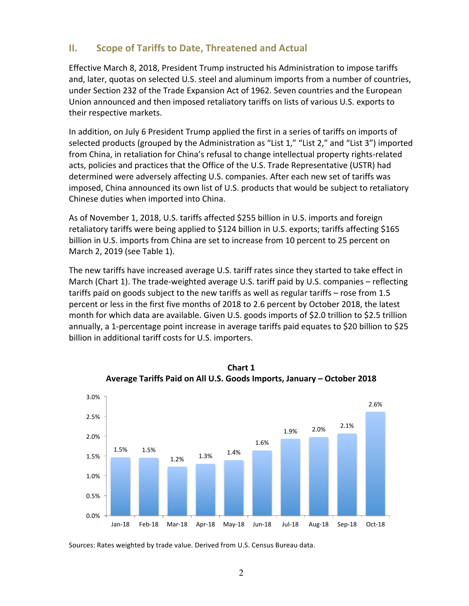# **II.** Scope of Tariffs to Date, Threatened and Actual

Effective March 8, 2018, President Trump instructed his Administration to impose tariffs and, later, quotas on selected U.S. steel and aluminum imports from a number of countries, under Section 232 of the Trade Expansion Act of 1962. Seven countries and the European Union announced and then imposed retaliatory tariffs on lists of various U.S. exports to their respective markets.

In addition, on July 6 President Trump applied the first in a series of tariffs on imports of selected products (grouped by the Administration as "List 1," "List 2," and "List 3") imported from China, in retaliation for China's refusal to change intellectual property rights-related acts, policies and practices that the Office of the U.S. Trade Representative (USTR) had determined were adversely affecting U.S. companies. After each new set of tariffs was imposed, China announced its own list of U.S. products that would be subject to retaliatory Chinese duties when imported into China.

As of November 1, 2018, U.S. tariffs affected \$255 billion in U.S. imports and foreign retaliatory tariffs were being applied to \$124 billion in U.S. exports; tariffs affecting \$165 billion in U.S. imports from China are set to increase from 10 percent to 25 percent on March 2, 2019 (see Table 1).

The new tariffs have increased average U.S. tariff rates since they started to take effect in March (Chart 1). The trade-weighted average U.S. tariff paid by U.S. companies - reflecting tariffs paid on goods subject to the new tariffs as well as regular tariffs  $-$  rose from 1.5 percent or less in the first five months of 2018 to 2.6 percent by October 2018, the latest month for which data are available. Given U.S. goods imports of \$2.0 trillion to \$2.5 trillion annually, a 1-percentage point increase in average tariffs paid equates to \$20 billion to \$25 billion in additional tariff costs for U.S. importers.





Sources: Rates weighted by trade value. Derived from U.S. Census Bureau data.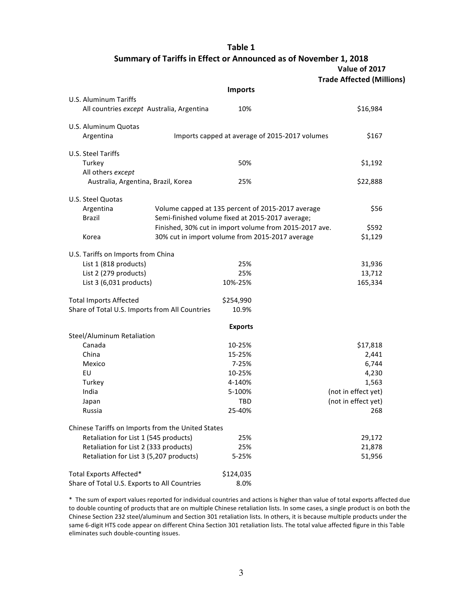**Table 1**

Summary of Tariffs in Effect or Announced as of November 1, 2018

**Value of 2017**

| <b>Trade Affected (Millions)</b> |  |
|----------------------------------|--|
|----------------------------------|--|

|                                                                    | <b>Imports</b>                                         |                     |
|--------------------------------------------------------------------|--------------------------------------------------------|---------------------|
| U.S. Aluminum Tariffs<br>All countries except Australia, Argentina | 10%                                                    | \$16,984            |
| U.S. Aluminum Quotas                                               |                                                        |                     |
| Argentina                                                          | Imports capped at average of 2015-2017 volumes         | \$167               |
| U.S. Steel Tariffs                                                 |                                                        |                     |
| Turkey                                                             | 50%                                                    | \$1,192             |
| All others except                                                  |                                                        |                     |
| Australia, Argentina, Brazil, Korea                                | 25%                                                    | \$22,888            |
| U.S. Steel Quotas                                                  |                                                        |                     |
| Argentina                                                          | Volume capped at 135 percent of 2015-2017 average      | \$56                |
| <b>Brazil</b>                                                      | Semi-finished volume fixed at 2015-2017 average;       |                     |
|                                                                    | Finished, 30% cut in import volume from 2015-2017 ave. | \$592               |
| Korea                                                              | 30% cut in import volume from 2015-2017 average        | \$1,129             |
| U.S. Tariffs on Imports from China                                 |                                                        |                     |
| List 1 (818 products)                                              | 25%                                                    | 31,936              |
| List 2 (279 products)                                              | 25%                                                    | 13,712              |
| List $3(6,031$ products)                                           | 10%-25%                                                | 165,334             |
| <b>Total Imports Affected</b>                                      | \$254,990                                              |                     |
| Share of Total U.S. Imports from All Countries                     | 10.9%                                                  |                     |
|                                                                    | <b>Exports</b>                                         |                     |
| Steel/Aluminum Retaliation                                         |                                                        |                     |
| Canada                                                             | 10-25%                                                 | \$17,818            |
| China                                                              | 15-25%                                                 | 2,441               |
| Mexico                                                             | 7-25%                                                  | 6,744               |
| EU                                                                 | 10-25%                                                 | 4,230               |
| Turkey                                                             | 4-140%                                                 | 1,563               |
| India                                                              | 5-100%                                                 | (not in effect yet) |
| Japan                                                              | TBD                                                    | (not in effect yet) |
| Russia                                                             | 25-40%                                                 | 268                 |
| Chinese Tariffs on Imports from the United States                  |                                                        |                     |
| Retaliation for List 1 (545 products)                              | 25%                                                    | 29,172              |
| Retaliation for List 2 (333 products)                              | 25%                                                    | 21,878              |
| Retaliation for List 3 (5,207 products)                            | 5-25%                                                  | 51,956              |
| Total Exports Affected*                                            | \$124,035                                              |                     |
| Share of Total U.S. Exports to All Countries                       | 8.0%                                                   |                     |

\* The sum of export values reported for individual countries and actions is higher than value of total exports affected due to double counting of products that are on multiple Chinese retaliation lists. In some cases, a single product is on both the Chinese Section 232 steel/aluminum and Section 301 retaliation lists. In others, it is because multiple products under the same 6-digit HTS code appear on different China Section 301 retaliation lists. The total value affected figure in this Table eliminates such double-counting issues.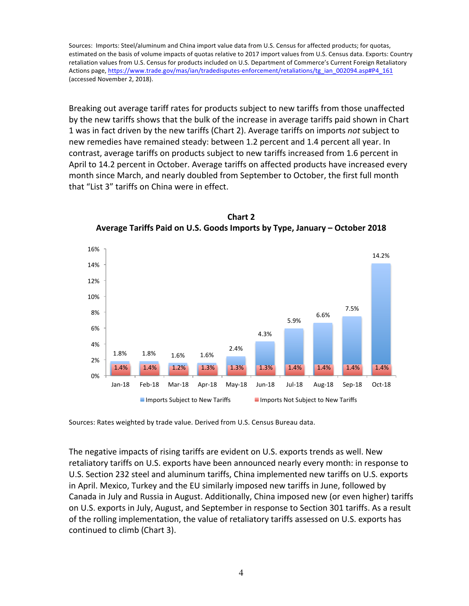Sources: Imports: Steel/aluminum and China import value data from U.S. Census for affected products; for quotas, estimated on the basis of volume impacts of quotas relative to 2017 import values from U.S. Census data. Exports: Country retaliation values from U.S. Census for products included on U.S. Department of Commerce's Current Foreign Retaliatory Actions page, https://www.trade.gov/mas/ian/tradedisputes-enforcement/retaliations/tg\_ian\_002094.asp#P4\_161 (accessed November 2, 2018).

Breaking out average tariff rates for products subject to new tariffs from those unaffected by the new tariffs shows that the bulk of the increase in average tariffs paid shown in Chart 1 was in fact driven by the new tariffs (Chart 2). Average tariffs on imports *not* subject to new remedies have remained steady: between 1.2 percent and 1.4 percent all year. In contrast, average tariffs on products subject to new tariffs increased from 1.6 percent in April to 14.2 percent in October. Average tariffs on affected products have increased every month since March, and nearly doubled from September to October, the first full month that "List 3" tariffs on China were in effect.



**Chart 2** Average Tariffs Paid on U.S. Goods Imports by Type, January – October 2018

Sources: Rates weighted by trade value. Derived from U.S. Census Bureau data.

The negative impacts of rising tariffs are evident on U.S. exports trends as well. New retaliatory tariffs on U.S. exports have been announced nearly every month: in response to U.S. Section 232 steel and aluminum tariffs, China implemented new tariffs on U.S. exports in April. Mexico, Turkey and the EU similarly imposed new tariffs in June, followed by Canada in July and Russia in August. Additionally, China imposed new (or even higher) tariffs on U.S. exports in July, August, and September in response to Section 301 tariffs. As a result of the rolling implementation, the value of retaliatory tariffs assessed on U.S. exports has continued to climb (Chart 3).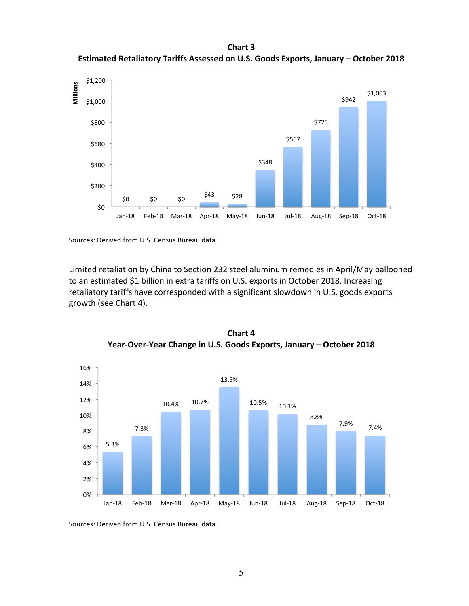**Chart 3** Estimated Retaliatory Tariffs Assessed on U.S. Goods Exports, January - October 2018



Sources: Derived from U.S. Census Bureau data.

Limited retaliation by China to Section 232 steel aluminum remedies in April/May ballooned to an estimated \$1 billion in extra tariffs on U.S. exports in October 2018. Increasing retaliatory tariffs have corresponded with a significant slowdown in U.S. goods exports growth (see Chart 4).



**Chart 4** Year-Over-Year Change in U.S. Goods Exports, January - October 2018

Sources: Derived from U.S. Census Bureau data.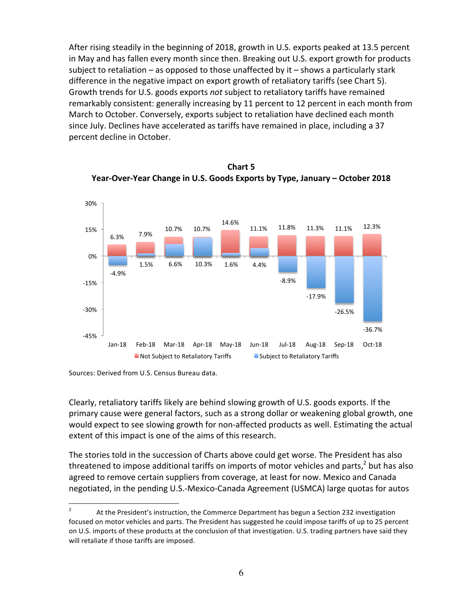After rising steadily in the beginning of 2018, growth in U.S. exports peaked at 13.5 percent in May and has fallen every month since then. Breaking out U.S. export growth for products subject to retaliation  $-$  as opposed to those unaffected by it  $-$  shows a particularly stark difference in the negative impact on export growth of retaliatory tariffs (see Chart 5). Growth trends for U.S. goods exports *not* subject to retaliatory tariffs have remained remarkably consistent: generally increasing by 11 percent to 12 percent in each month from March to October. Conversely, exports subject to retaliation have declined each month since July. Declines have accelerated as tariffs have remained in place, including a 37 percent decline in October.



**Chart 5** Year-Over-Year Change in U.S. Goods Exports by Type, January - October 2018

Clearly, retaliatory tariffs likely are behind slowing growth of U.S. goods exports. If the primary cause were general factors, such as a strong dollar or weakening global growth, one would expect to see slowing growth for non-affected products as well. Estimating the actual extent of this impact is one of the aims of this research.

The stories told in the succession of Charts above could get worse. The President has also threatened to impose additional tariffs on imports of motor vehicles and parts,<sup>2</sup> but has also agreed to remove certain suppliers from coverage, at least for now. Mexico and Canada negotiated, in the pending U.S.-Mexico-Canada Agreement (USMCA) large quotas for autos

Sources: Derived from U.S. Census Bureau data.

<sup>&</sup>lt;sup>2</sup> At the President's instruction, the Commerce Department has begun a Section 232 investigation focused on motor vehicles and parts. The President has suggested he could impose tariffs of up to 25 percent on U.S. imports of these products at the conclusion of that investigation. U.S. trading partners have said they will retaliate if those tariffs are imposed.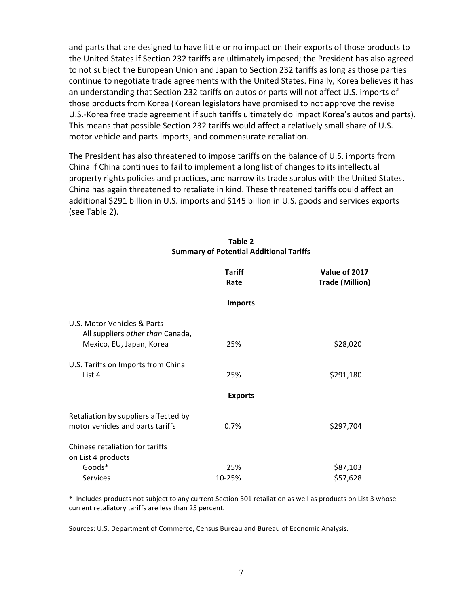and parts that are designed to have little or no impact on their exports of those products to the United States if Section 232 tariffs are ultimately imposed; the President has also agreed to not subject the European Union and Japan to Section 232 tariffs as long as those parties continue to negotiate trade agreements with the United States. Finally, Korea believes it has an understanding that Section 232 tariffs on autos or parts will not affect U.S. imports of those products from Korea (Korean legislators have promised to not approve the revise U.S.-Korea free trade agreement if such tariffs ultimately do impact Korea's autos and parts). This means that possible Section 232 tariffs would affect a relatively small share of U.S. motor vehicle and parts imports, and commensurate retaliation.

The President has also threatened to impose tariffs on the balance of U.S. imports from China if China continues to fail to implement a long list of changes to its intellectual property rights policies and practices, and narrow its trade surplus with the United States. China has again threatened to retaliate in kind. These threatened tariffs could affect an additional \$291 billion in U.S. imports and \$145 billion in U.S. goods and services exports (see Table 2).

|                                                                 | <b>Tariff</b><br>Rate | Value of 2017<br><b>Trade (Million)</b> |
|-----------------------------------------------------------------|-----------------------|-----------------------------------------|
|                                                                 | <b>Imports</b>        |                                         |
| U.S. Motor Vehicles & Parts<br>All suppliers other than Canada, |                       |                                         |
| Mexico, EU, Japan, Korea                                        | 25%                   | \$28,020                                |
| U.S. Tariffs on Imports from China                              |                       |                                         |
| List 4                                                          | 25%                   | \$291,180                               |
|                                                                 | <b>Exports</b>        |                                         |
| Retaliation by suppliers affected by                            |                       |                                         |
| motor vehicles and parts tariffs                                | 0.7%                  | \$297,704                               |
| Chinese retaliation for tariffs                                 |                       |                                         |
| on List 4 products                                              |                       |                                         |
| Goods*                                                          | 25%                   | \$87,103                                |
| Services                                                        | 10-25%                | \$57,628                                |

#### **Table 2 Summary of Potential Additional Tariffs**

\* Includes products not subject to any current Section 301 retaliation as well as products on List 3 whose current retaliatory tariffs are less than 25 percent.

Sources: U.S. Department of Commerce, Census Bureau and Bureau of Economic Analysis.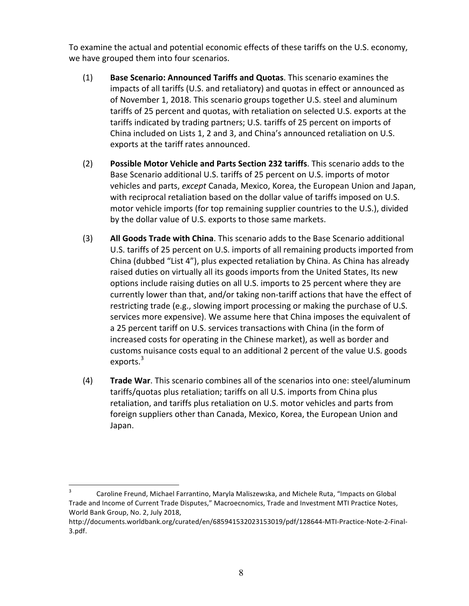To examine the actual and potential economic effects of these tariffs on the U.S. economy, we have grouped them into four scenarios.

- (1) **Base Scenario: Announced Tariffs and Quotas**. This scenario examines the impacts of all tariffs (U.S. and retaliatory) and quotas in effect or announced as of November 1, 2018. This scenario groups together U.S. steel and aluminum tariffs of 25 percent and quotas, with retaliation on selected U.S. exports at the tariffs indicated by trading partners; U.S. tariffs of 25 percent on imports of China included on Lists 1, 2 and 3, and China's announced retaliation on U.S. exports at the tariff rates announced.
- (2) Possible Motor Vehicle and Parts Section 232 tariffs. This scenario adds to the Base Scenario additional U.S. tariffs of 25 percent on U.S. imports of motor vehicles and parts, *except* Canada, Mexico, Korea, the European Union and Japan, with reciprocal retaliation based on the dollar value of tariffs imposed on U.S. motor vehicle imports (for top remaining supplier countries to the U.S.), divided by the dollar value of U.S. exports to those same markets.
- (3) **All Goods Trade with China**. This scenario adds to the Base Scenario additional U.S. tariffs of 25 percent on U.S. imports of all remaining products imported from China (dubbed "List 4"), plus expected retaliation by China. As China has already raised duties on virtually all its goods imports from the United States, Its new options include raising duties on all U.S. imports to 25 percent where they are currently lower than that, and/or taking non-tariff actions that have the effect of restricting trade (e.g., slowing import processing or making the purchase of U.S. services more expensive). We assume here that China imposes the equivalent of a 25 percent tariff on U.S. services transactions with China (in the form of increased costs for operating in the Chinese market), as well as border and customs nuisance costs equal to an additional 2 percent of the value U.S. goods exports.<sup>3</sup>
- (4) **Trade War**. This scenario combines all of the scenarios into one: steel/aluminum tariffs/quotas plus retaliation; tariffs on all U.S. imports from China plus retaliation, and tariffs plus retaliation on U.S. motor vehicles and parts from foreign suppliers other than Canada, Mexico, Korea, the European Union and Japan.

 $3$  Caroline Freund, Michael Farrantino, Maryla Maliszewska, and Michele Ruta, "Impacts on Global Trade and Income of Current Trade Disputes," Macroecnomics, Trade and Investment MTI Practice Notes, World Bank Group, No. 2, July 2018,

http://documents.worldbank.org/curated/en/685941532023153019/pdf/128644-MTI-Practice-Note-2-Final-3.pdf.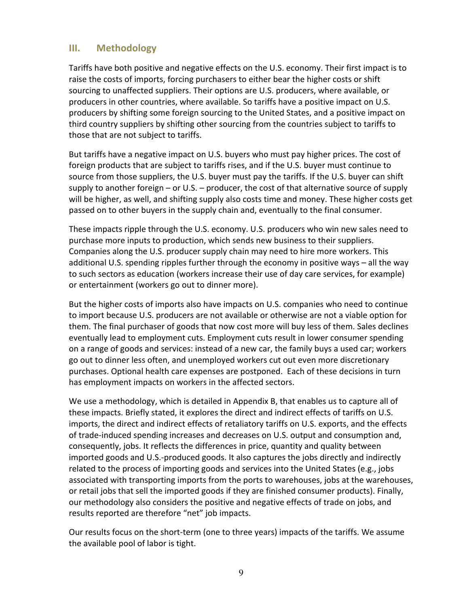# **III. Methodology**

Tariffs have both positive and negative effects on the U.S. economy. Their first impact is to raise the costs of imports, forcing purchasers to either bear the higher costs or shift sourcing to unaffected suppliers. Their options are U.S. producers, where available, or producers in other countries, where available. So tariffs have a positive impact on U.S. producers by shifting some foreign sourcing to the United States, and a positive impact on third country suppliers by shifting other sourcing from the countries subject to tariffs to those that are not subject to tariffs.

But tariffs have a negative impact on U.S. buyers who must pay higher prices. The cost of foreign products that are subject to tariffs rises, and if the U.S. buyer must continue to source from those suppliers, the U.S. buyer must pay the tariffs. If the U.S. buyer can shift supply to another foreign – or U.S. – producer, the cost of that alternative source of supply will be higher, as well, and shifting supply also costs time and money. These higher costs get passed on to other buyers in the supply chain and, eventually to the final consumer.

These impacts ripple through the U.S. economy. U.S. producers who win new sales need to purchase more inputs to production, which sends new business to their suppliers. Companies along the U.S. producer supply chain may need to hire more workers. This additional U.S. spending ripples further through the economy in positive ways – all the way to such sectors as education (workers increase their use of day care services, for example) or entertainment (workers go out to dinner more).

But the higher costs of imports also have impacts on U.S. companies who need to continue to import because U.S. producers are not available or otherwise are not a viable option for them. The final purchaser of goods that now cost more will buy less of them. Sales declines eventually lead to employment cuts. Employment cuts result in lower consumer spending on a range of goods and services: instead of a new car, the family buys a used car; workers go out to dinner less often, and unemployed workers cut out even more discretionary purchases. Optional health care expenses are postponed. Each of these decisions in turn has employment impacts on workers in the affected sectors.

We use a methodology, which is detailed in Appendix B, that enables us to capture all of these impacts. Briefly stated, it explores the direct and indirect effects of tariffs on U.S. imports, the direct and indirect effects of retaliatory tariffs on U.S. exports, and the effects of trade-induced spending increases and decreases on U.S. output and consumption and, consequently, jobs. It reflects the differences in price, quantity and quality between imported goods and U.S.-produced goods. It also captures the jobs directly and indirectly related to the process of importing goods and services into the United States (e.g., jobs associated with transporting imports from the ports to warehouses, jobs at the warehouses, or retail jobs that sell the imported goods if they are finished consumer products). Finally, our methodology also considers the positive and negative effects of trade on jobs, and results reported are therefore "net" job impacts.

Our results focus on the short-term (one to three years) impacts of the tariffs. We assume the available pool of labor is tight.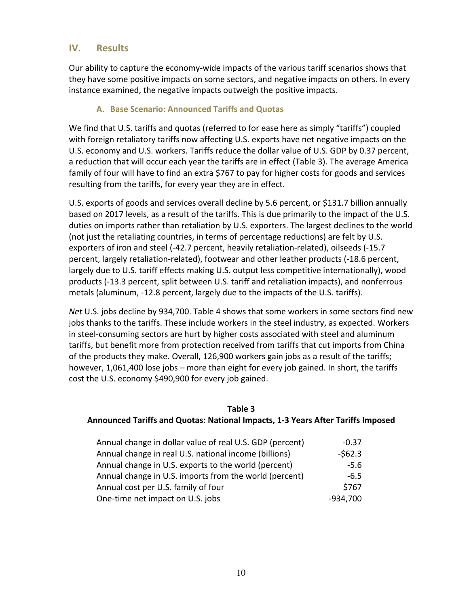## **IV. Results**

Our ability to capture the economy-wide impacts of the various tariff scenarios shows that they have some positive impacts on some sectors, and negative impacts on others. In every instance examined, the negative impacts outweigh the positive impacts.

#### **A. Base Scenario: Announced Tariffs and Quotas**

We find that U.S. tariffs and quotas (referred to for ease here as simply "tariffs") coupled with foreign retaliatory tariffs now affecting U.S. exports have net negative impacts on the U.S. economy and U.S. workers. Tariffs reduce the dollar value of U.S. GDP by 0.37 percent, a reduction that will occur each year the tariffs are in effect (Table 3). The average America family of four will have to find an extra \$767 to pay for higher costs for goods and services resulting from the tariffs, for every year they are in effect.

U.S. exports of goods and services overall decline by 5.6 percent, or \$131.7 billion annually based on 2017 levels, as a result of the tariffs. This is due primarily to the impact of the U.S. duties on imports rather than retaliation by U.S. exporters. The largest declines to the world (not just the retaliating countries, in terms of percentage reductions) are felt by U.S. exporters of iron and steel (-42.7 percent, heavily retaliation-related), oilseeds (-15.7 percent, largely retaliation-related), footwear and other leather products (-18.6 percent, largely due to U.S. tariff effects making U.S. output less competitive internationally), wood products (-13.3 percent, split between U.S. tariff and retaliation impacts), and nonferrous metals (aluminum, -12.8 percent, largely due to the impacts of the U.S. tariffs).

Net U.S. jobs decline by 934,700. Table 4 shows that some workers in some sectors find new jobs thanks to the tariffs. These include workers in the steel industry, as expected. Workers in steel-consuming sectors are hurt by higher costs associated with steel and aluminum tariffs, but benefit more from protection received from tariffs that cut imports from China of the products they make. Overall, 126,900 workers gain jobs as a result of the tariffs; however, 1,061,400 lose jobs – more than eight for every job gained. In short, the tariffs cost the U.S. economy \$490,900 for every job gained.

#### **Table 3**

#### **Announced Tariffs and Quotas: National Impacts, 1-3 Years After Tariffs Imposed**

| Annual change in dollar value of real U.S. GDP (percent) | $-0.37$    |
|----------------------------------------------------------|------------|
| Annual change in real U.S. national income (billions)    | $-562.3$   |
| Annual change in U.S. exports to the world (percent)     | $-5.6$     |
| Annual change in U.S. imports from the world (percent)   | $-6.5$     |
| Annual cost per U.S. family of four                      | \$767      |
| One-time net impact on U.S. jobs                         | $-934,700$ |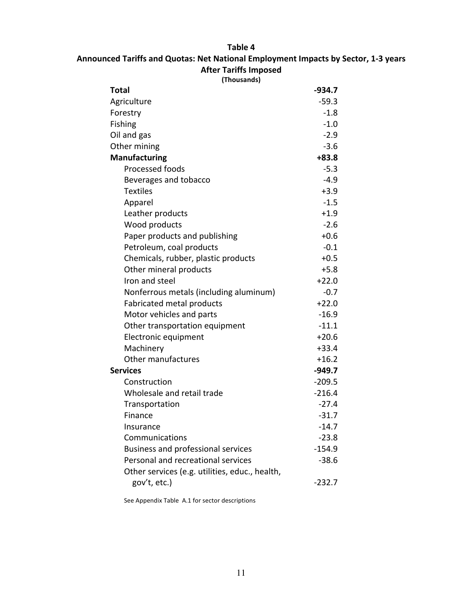#### **Table 4**

#### Announced Tariffs and Quotas: Net National Employment Impacts by Sector, 1-3 years **After Tariffs Imposed**

| (Thousands)                                    |          |
|------------------------------------------------|----------|
| Total                                          | $-934.7$ |
| Agriculture                                    | $-59.3$  |
| Forestry                                       | $-1.8$   |
| <b>Fishing</b>                                 | $-1.0$   |
| Oil and gas                                    | $-2.9$   |
| Other mining                                   | $-3.6$   |
| <b>Manufacturing</b>                           | $+83.8$  |
| Processed foods                                | $-5.3$   |
| Beverages and tobacco                          | $-4.9$   |
| <b>Textiles</b>                                | $+3.9$   |
| Apparel                                        | $-1.5$   |
| Leather products                               | $+1.9$   |
| Wood products                                  | $-2.6$   |
| Paper products and publishing                  | $+0.6$   |
| Petroleum, coal products                       | $-0.1$   |
| Chemicals, rubber, plastic products            | $+0.5$   |
| Other mineral products                         | $+5.8$   |
| Iron and steel                                 | $+22.0$  |
| Nonferrous metals (including aluminum)         | $-0.7$   |
| Fabricated metal products                      | $+22.0$  |
| Motor vehicles and parts                       | $-16.9$  |
| Other transportation equipment                 | $-11.1$  |
| Electronic equipment                           | $+20.6$  |
| Machinery                                      | $+33.4$  |
| Other manufactures                             | $+16.2$  |
| <b>Services</b>                                | $-949.7$ |
| Construction                                   | $-209.5$ |
| Wholesale and retail trade                     | $-216.4$ |
| Transportation                                 | $-27.4$  |
| Finance                                        | $-31.7$  |
| Insurance                                      | $-14.7$  |
| Communications                                 | $-23.8$  |
| Business and professional services             | $-154.9$ |
| Personal and recreational services             | $-38.6$  |
| Other services (e.g. utilities, educ., health, |          |
| gov't, etc.)                                   | $-232.7$ |

See Appendix Table A.1 for sector descriptions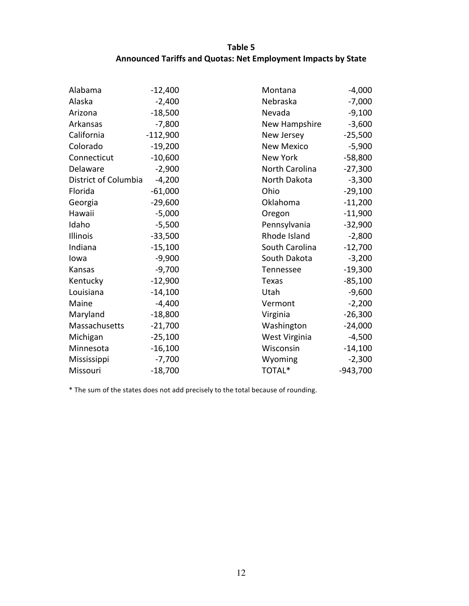## **Table 5** Announced Tariffs and Quotas: Net Employment Impacts by State

| Alabama              | $-12,400$  | Montana           | $-4,000$   |
|----------------------|------------|-------------------|------------|
| Alaska               | $-2,400$   | Nebraska          | $-7,000$   |
| Arizona              | $-18,500$  | Nevada            | $-9,100$   |
| Arkansas             | $-7,800$   | New Hampshire     | $-3,600$   |
| California           | $-112,900$ | New Jersey        | $-25,500$  |
| Colorado             | $-19,200$  | <b>New Mexico</b> | $-5,900$   |
| Connecticut          | $-10,600$  | New York          | $-58,800$  |
| Delaware             | $-2,900$   | North Carolina    | $-27,300$  |
| District of Columbia | $-4,200$   | North Dakota      | $-3,300$   |
| Florida              | $-61,000$  | Ohio              | $-29,100$  |
| Georgia              | $-29,600$  | Oklahoma          | $-11,200$  |
| Hawaii               | $-5,000$   | Oregon            | $-11,900$  |
| Idaho                | $-5,500$   | Pennsylvania      | $-32,900$  |
| Illinois             | $-33,500$  | Rhode Island      | $-2,800$   |
| Indiana              | $-15,100$  | South Carolina    | $-12,700$  |
| Iowa                 | $-9,900$   | South Dakota      | $-3,200$   |
| Kansas               | $-9,700$   | Tennessee         | $-19,300$  |
| Kentucky             | $-12,900$  | <b>Texas</b>      | $-85,100$  |
| Louisiana            | $-14,100$  | Utah              | $-9,600$   |
| Maine                | $-4,400$   | Vermont           | $-2,200$   |
| Maryland             | $-18,800$  | Virginia          | $-26,300$  |
| Massachusetts        | $-21,700$  | Washington        | $-24,000$  |
| Michigan             | $-25,100$  | West Virginia     | $-4,500$   |
| Minnesota            | $-16,100$  | Wisconsin         | $-14,100$  |
| Mississippi          | $-7,700$   | Wyoming           | $-2,300$   |
| Missouri             | $-18,700$  | TOTAL*            | $-943,700$ |

\* The sum of the states does not add precisely to the total because of rounding.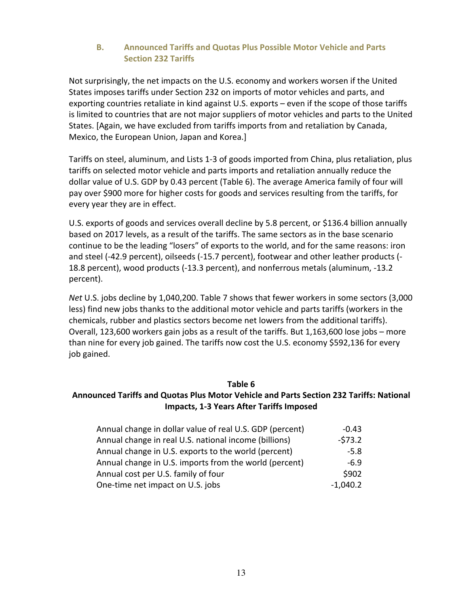#### **B.** Announced Tariffs and Quotas Plus Possible Motor Vehicle and Parts **Section 232 Tariffs**

Not surprisingly, the net impacts on the U.S. economy and workers worsen if the United States imposes tariffs under Section 232 on imports of motor vehicles and parts, and exporting countries retaliate in kind against U.S. exports  $-$  even if the scope of those tariffs is limited to countries that are not major suppliers of motor vehicles and parts to the United States. [Again, we have excluded from tariffs imports from and retaliation by Canada, Mexico, the European Union, Japan and Korea.]

Tariffs on steel, aluminum, and Lists 1-3 of goods imported from China, plus retaliation, plus tariffs on selected motor vehicle and parts imports and retaliation annually reduce the dollar value of U.S. GDP by 0.43 percent (Table 6). The average America family of four will pay over \$900 more for higher costs for goods and services resulting from the tariffs, for every year they are in effect.

U.S. exports of goods and services overall decline by 5.8 percent, or \$136.4 billion annually based on 2017 levels, as a result of the tariffs. The same sectors as in the base scenario continue to be the leading "losers" of exports to the world, and for the same reasons: iron and steel (-42.9 percent), oilseeds (-15.7 percent), footwear and other leather products (-18.8 percent), wood products (-13.3 percent), and nonferrous metals (aluminum, -13.2 percent).

*Net* U.S. jobs decline by 1,040,200. Table 7 shows that fewer workers in some sectors (3,000 less) find new jobs thanks to the additional motor vehicle and parts tariffs (workers in the chemicals, rubber and plastics sectors become net lowers from the additional tariffs). Overall, 123,600 workers gain jobs as a result of the tariffs. But 1,163,600 lose jobs – more than nine for every job gained. The tariffs now cost the U.S. economy \$592,136 for every job gained.

#### **Table 6**

#### Announced Tariffs and Quotas Plus Motor Vehicle and Parts Section 232 Tariffs: National **Impacts, 1-3 Years After Tariffs Imposed**

| Annual change in dollar value of real U.S. GDP (percent) | $-0.43$    |
|----------------------------------------------------------|------------|
| Annual change in real U.S. national income (billions)    | $-573.2$   |
| Annual change in U.S. exports to the world (percent)     | $-5.8$     |
| Annual change in U.S. imports from the world (percent)   | $-6.9$     |
| Annual cost per U.S. family of four                      | \$902      |
| One-time net impact on U.S. jobs                         | $-1,040.2$ |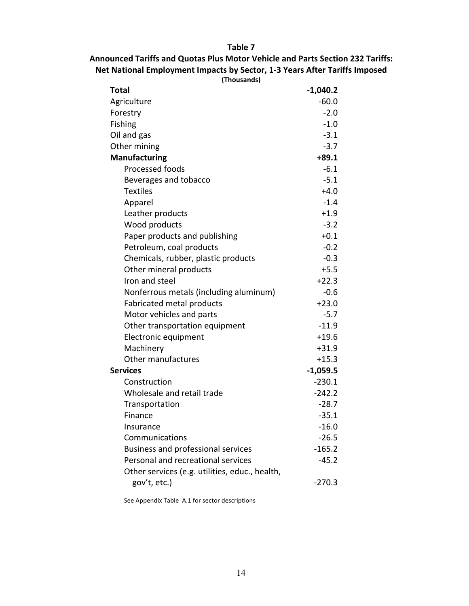**Table 7**

# Announced Tariffs and Quotas Plus Motor Vehicle and Parts Section 232 Tariffs: Net National Employment Impacts by Sector, 1-3 Years After Tariffs Imposed

| (Thousands)                                    |            |
|------------------------------------------------|------------|
| Total                                          | $-1,040.2$ |
| Agriculture                                    | $-60.0$    |
| Forestry                                       | $-2.0$     |
| Fishing                                        | $-1.0$     |
| Oil and gas                                    | $-3.1$     |
| Other mining                                   | $-3.7$     |
| <b>Manufacturing</b>                           | $+89.1$    |
| Processed foods                                | $-6.1$     |
| Beverages and tobacco                          | $-5.1$     |
| <b>Textiles</b>                                | $+4.0$     |
| Apparel                                        | $-1.4$     |
| Leather products                               | $+1.9$     |
| Wood products                                  | $-3.2$     |
| Paper products and publishing                  | $+0.1$     |
| Petroleum, coal products                       | $-0.2$     |
| Chemicals, rubber, plastic products            | $-0.3$     |
| Other mineral products                         | $+5.5$     |
| Iron and steel                                 | $+22.3$    |
| Nonferrous metals (including aluminum)         | $-0.6$     |
| Fabricated metal products                      | $+23.0$    |
| Motor vehicles and parts                       | $-5.7$     |
| Other transportation equipment                 | $-11.9$    |
| Electronic equipment                           | $+19.6$    |
| Machinery                                      | $+31.9$    |
| Other manufactures                             | $+15.3$    |
| <b>Services</b>                                | $-1,059.5$ |
| Construction                                   | $-230.1$   |
| Wholesale and retail trade                     | $-242.2$   |
| Transportation                                 | $-28.7$    |
| Finance                                        | $-35.1$    |
| Insurance                                      | $-16.0$    |
| Communications                                 | $-26.5$    |
| Business and professional services             | $-165.2$   |
| Personal and recreational services             | $-45.2$    |
| Other services (e.g. utilities, educ., health, |            |
| gov't, etc.)                                   | $-270.3$   |

See Appendix Table A.1 for sector descriptions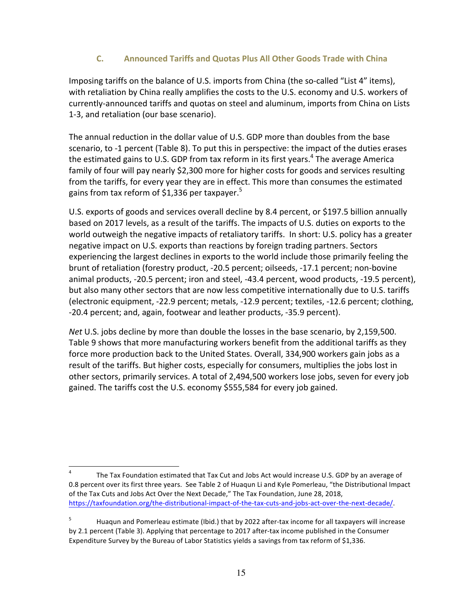#### **C. Announced Tariffs and Quotas Plus All Other Goods Trade with China**

Imposing tariffs on the balance of U.S. imports from China (the so-called "List 4" items), with retaliation by China really amplifies the costs to the U.S. economy and U.S. workers of currently-announced tariffs and quotas on steel and aluminum, imports from China on Lists 1-3, and retaliation (our base scenario).

The annual reduction in the dollar value of U.S. GDP more than doubles from the base scenario, to -1 percent (Table 8). To put this in perspective: the impact of the duties erases the estimated gains to U.S. GDP from tax reform in its first years.<sup>4</sup> The average America family of four will pay nearly \$2,300 more for higher costs for goods and services resulting from the tariffs, for every year they are in effect. This more than consumes the estimated gains from tax reform of \$1,336 per taxpayer.<sup>5</sup>

U.S. exports of goods and services overall decline by 8.4 percent, or \$197.5 billion annually based on 2017 levels, as a result of the tariffs. The impacts of U.S. duties on exports to the world outweigh the negative impacts of retaliatory tariffs. In short: U.S. policy has a greater negative impact on U.S. exports than reactions by foreign trading partners. Sectors experiencing the largest declines in exports to the world include those primarily feeling the brunt of retaliation (forestry product, -20.5 percent; oilseeds, -17.1 percent; non-bovine animal products, -20.5 percent; iron and steel, -43.4 percent, wood products, -19.5 percent), but also many other sectors that are now less competitive internationally due to U.S. tariffs (electronic equipment, -22.9 percent; metals, -12.9 percent; textiles, -12.6 percent; clothing, -20.4 percent; and, again, footwear and leather products, -35.9 percent).

*Net* U.S. jobs decline by more than double the losses in the base scenario, by 2,159,500. Table 9 shows that more manufacturing workers benefit from the additional tariffs as they force more production back to the United States. Overall, 334,900 workers gain jobs as a result of the tariffs. But higher costs, especially for consumers, multiplies the jobs lost in other sectors, primarily services. A total of 2,494,500 workers lose jobs, seven for every job gained. The tariffs cost the U.S. economy \$555,584 for every job gained.

The Tax Foundation estimated that Tax Cut and Jobs Act would increase U.S. GDP by an average of 0.8 percent over its first three years. See Table 2 of Huaqun Li and Kyle Pomerleau, "the Distributional Impact of the Tax Cuts and Jobs Act Over the Next Decade," The Tax Foundation, June 28, 2018, https://taxfoundation.org/the-distributional-impact-of-the-tax-cuts-and-jobs-act-over-the-next-decade/.

<sup>&</sup>lt;sup>5</sup> Huaqun and Pomerleau estimate (Ibid.) that by 2022 after-tax income for all taxpayers will increase by 2.1 percent (Table 3). Applying that percentage to 2017 after-tax income published in the Consumer Expenditure Survey by the Bureau of Labor Statistics yields a savings from tax reform of \$1,336.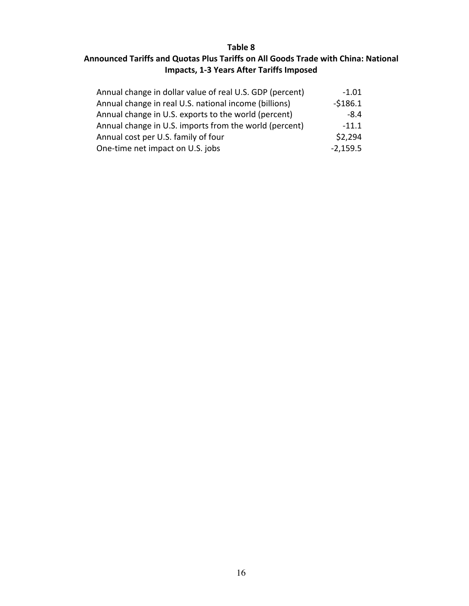# **Table 8** Announced Tariffs and Quotas Plus Tariffs on All Goods Trade with China: National **Impacts, 1-3 Years After Tariffs Imposed**

| Annual change in dollar value of real U.S. GDP (percent) | $-1.01$    |
|----------------------------------------------------------|------------|
| Annual change in real U.S. national income (billions)    | $-5186.1$  |
| Annual change in U.S. exports to the world (percent)     | $-8.4$     |
| Annual change in U.S. imports from the world (percent)   | $-11.1$    |
| Annual cost per U.S. family of four                      | \$2,294    |
| One-time net impact on U.S. jobs                         | $-2,159.5$ |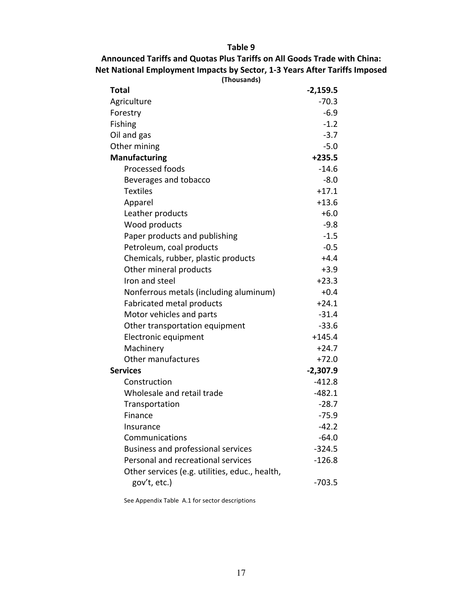**Table 9**

# Announced Tariffs and Quotas Plus Tariffs on All Goods Trade with China: **Net National Employment Impacts by Sector, 1-3 Years After Tariffs Imposed**

| (Thousands)                                    |            |
|------------------------------------------------|------------|
| Total                                          | $-2,159.5$ |
| Agriculture                                    | $-70.3$    |
| Forestry                                       | $-6.9$     |
| Fishing                                        | $-1.2$     |
| Oil and gas                                    | $-3.7$     |
| Other mining                                   | $-5.0$     |
| <b>Manufacturing</b>                           | $+235.5$   |
| Processed foods                                | $-14.6$    |
| Beverages and tobacco                          | $-8.0$     |
| <b>Textiles</b>                                | $+17.1$    |
| Apparel                                        | $+13.6$    |
| Leather products                               | $+6.0$     |
| Wood products                                  | $-9.8$     |
| Paper products and publishing                  | $-1.5$     |
| Petroleum, coal products                       | $-0.5$     |
| Chemicals, rubber, plastic products            | $+4.4$     |
| Other mineral products                         | $+3.9$     |
| Iron and steel                                 | $+23.3$    |
| Nonferrous metals (including aluminum)         | $+0.4$     |
| Fabricated metal products                      | $+24.1$    |
| Motor vehicles and parts                       | $-31.4$    |
| Other transportation equipment                 | $-33.6$    |
| Electronic equipment                           | $+145.4$   |
| Machinery                                      | $+24.7$    |
| Other manufactures                             | $+72.0$    |
| <b>Services</b>                                | $-2,307.9$ |
| Construction                                   | $-412.8$   |
| Wholesale and retail trade                     | $-482.1$   |
| Transportation                                 | $-28.7$    |
| Finance                                        | $-75.9$    |
| Insurance                                      | $-42.2$    |
| Communications                                 | $-64.0$    |
| Business and professional services             | $-324.5$   |
| Personal and recreational services             | $-126.8$   |
| Other services (e.g. utilities, educ., health, |            |
| gov't, etc.)                                   | $-703.5$   |

See Appendix Table A.1 for sector descriptions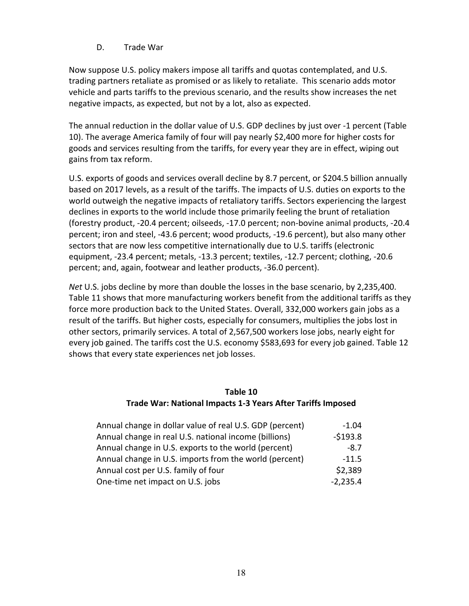#### D. Trade War

Now suppose U.S. policy makers impose all tariffs and quotas contemplated, and U.S. trading partners retaliate as promised or as likely to retaliate. This scenario adds motor vehicle and parts tariffs to the previous scenario, and the results show increases the net negative impacts, as expected, but not by a lot, also as expected.

The annual reduction in the dollar value of U.S. GDP declines by just over -1 percent (Table 10). The average America family of four will pay nearly \$2,400 more for higher costs for goods and services resulting from the tariffs, for every year they are in effect, wiping out gains from tax reform.

U.S. exports of goods and services overall decline by 8.7 percent, or \$204.5 billion annually based on 2017 levels, as a result of the tariffs. The impacts of U.S. duties on exports to the world outweigh the negative impacts of retaliatory tariffs. Sectors experiencing the largest declines in exports to the world include those primarily feeling the brunt of retaliation (forestry product, -20.4 percent; oilseeds, -17.0 percent; non-bovine animal products, -20.4 percent; iron and steel, -43.6 percent; wood products, -19.6 percent), but also many other sectors that are now less competitive internationally due to U.S. tariffs (electronic equipment, -23.4 percent; metals, -13.3 percent; textiles, -12.7 percent; clothing, -20.6 percent; and, again, footwear and leather products, -36.0 percent).

*Net* U.S. jobs decline by more than double the losses in the base scenario, by 2,235,400. Table 11 shows that more manufacturing workers benefit from the additional tariffs as they force more production back to the United States. Overall, 332,000 workers gain jobs as a result of the tariffs. But higher costs, especially for consumers, multiplies the jobs lost in other sectors, primarily services. A total of 2,567,500 workers lose jobs, nearly eight for every job gained. The tariffs cost the U.S. economy \$583,693 for every job gained. Table 12 shows that every state experiences net job losses.

#### **Table 10 Trade War: National Impacts 1-3 Years After Tariffs Imposed**

| Annual change in dollar value of real U.S. GDP (percent) | $-1.04$    |
|----------------------------------------------------------|------------|
| Annual change in real U.S. national income (billions)    | $-5193.8$  |
| Annual change in U.S. exports to the world (percent)     | $-8.7$     |
| Annual change in U.S. imports from the world (percent)   | $-11.5$    |
| Annual cost per U.S. family of four                      | \$2,389    |
| One-time net impact on U.S. jobs                         | $-2,235.4$ |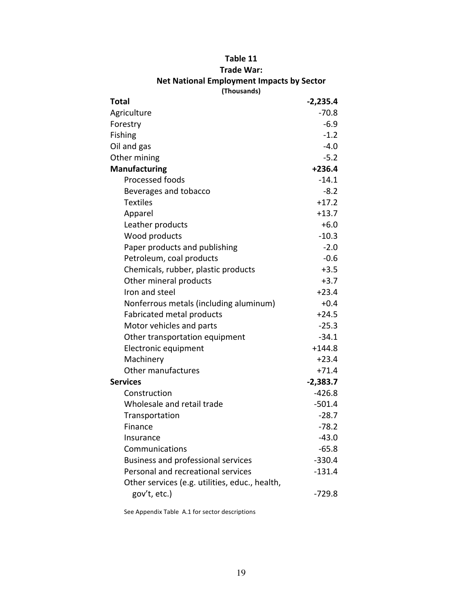| (Thousands)                                    |            |
|------------------------------------------------|------------|
| Total                                          | $-2,235.4$ |
| Agriculture                                    | $-70.8$    |
| Forestry                                       | $-6.9$     |
| Fishing                                        | $-1.2$     |
| Oil and gas                                    | $-4.0$     |
| Other mining                                   | $-5.2$     |
| <b>Manufacturing</b>                           | $+236.4$   |
| Processed foods                                | $-14.1$    |
| Beverages and tobacco                          | $-8.2$     |
| <b>Textiles</b>                                | $+17.2$    |
| Apparel                                        | $+13.7$    |
| Leather products                               | $+6.0$     |
| Wood products                                  | $-10.3$    |
| Paper products and publishing                  | $-2.0$     |
| Petroleum, coal products                       | $-0.6$     |
| Chemicals, rubber, plastic products            | $+3.5$     |
| Other mineral products                         | $+3.7$     |
| Iron and steel                                 | $+23.4$    |
| Nonferrous metals (including aluminum)         | $+0.4$     |
| Fabricated metal products                      | $+24.5$    |
| Motor vehicles and parts                       | $-25.3$    |
| Other transportation equipment                 | $-34.1$    |
| Electronic equipment                           | $+144.8$   |
| Machinery                                      | $+23.4$    |
| Other manufactures                             | $+71.4$    |
| <b>Services</b>                                | $-2,383.7$ |
| Construction                                   | $-426.8$   |
| Wholesale and retail trade                     | $-501.4$   |
| Transportation                                 | $-28.7$    |
| Finance                                        | $-78.2$    |
| Insurance                                      | $-43.0$    |
| Communications                                 | $-65.8$    |
| <b>Business and professional services</b>      | $-330.4$   |
| Personal and recreational services             | $-131.4$   |
| Other services (e.g. utilities, educ., health, |            |
| gov't, etc.)                                   | $-729.8$   |
|                                                |            |

# **Table 11**

**Trade War:** 

**Net National Employment Impacts by Sector** 

See Appendix Table A.1 for sector descriptions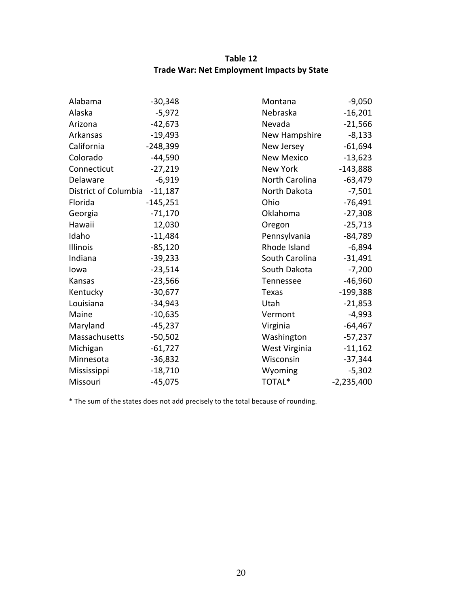# **Table 12 Trade War: Net Employment Impacts by State**

| Alabama              | $-30,348$  | Montana           | $-9,050$     |
|----------------------|------------|-------------------|--------------|
| Alaska               | $-5,972$   | Nebraska          | $-16,201$    |
| Arizona              | $-42,673$  | Nevada            | $-21,566$    |
| Arkansas             | $-19,493$  | New Hampshire     | $-8,133$     |
| California           | $-248,399$ | New Jersey        | $-61,694$    |
| Colorado             | $-44,590$  | <b>New Mexico</b> | $-13,623$    |
| Connecticut          | $-27,219$  | New York          | $-143,888$   |
| Delaware             | $-6,919$   | North Carolina    | $-63,479$    |
| District of Columbia | $-11,187$  | North Dakota      | $-7,501$     |
| Florida              | $-145,251$ | Ohio              | $-76,491$    |
| Georgia              | $-71,170$  | Oklahoma          | $-27,308$    |
| Hawaii               | 12,030     | Oregon            | $-25,713$    |
| Idaho                | $-11,484$  | Pennsylvania      | $-84,789$    |
| Illinois             | $-85,120$  | Rhode Island      | $-6,894$     |
| Indiana              | $-39,233$  | South Carolina    | $-31,491$    |
| Iowa                 | $-23,514$  | South Dakota      | $-7,200$     |
| Kansas               | $-23,566$  | Tennessee         | $-46,960$    |
| Kentucky             | $-30,677$  | Texas             | $-199,388$   |
| Louisiana            | $-34,943$  | Utah              | $-21,853$    |
| Maine                | $-10,635$  | Vermont           | $-4,993$     |
| Maryland             | $-45,237$  | Virginia          | $-64,467$    |
| Massachusetts        | $-50,502$  | Washington        | $-57,237$    |
| Michigan             | $-61,727$  | West Virginia     | $-11,162$    |
| Minnesota            | $-36,832$  | Wisconsin         | $-37,344$    |
| Mississippi          | $-18,710$  | Wyoming           | $-5,302$     |
| Missouri             | $-45,075$  | TOTAL*            | $-2,235,400$ |

\* The sum of the states does not add precisely to the total because of rounding.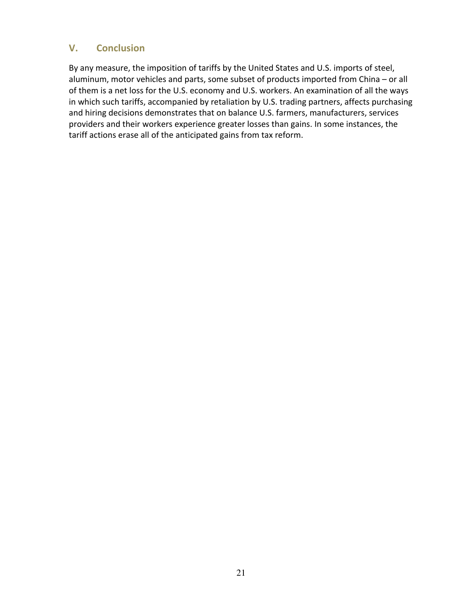## **V. Conclusion**

By any measure, the imposition of tariffs by the United States and U.S. imports of steel, aluminum, motor vehicles and parts, some subset of products imported from China - or all of them is a net loss for the U.S. economy and U.S. workers. An examination of all the ways in which such tariffs, accompanied by retaliation by U.S. trading partners, affects purchasing and hiring decisions demonstrates that on balance U.S. farmers, manufacturers, services providers and their workers experience greater losses than gains. In some instances, the tariff actions erase all of the anticipated gains from tax reform.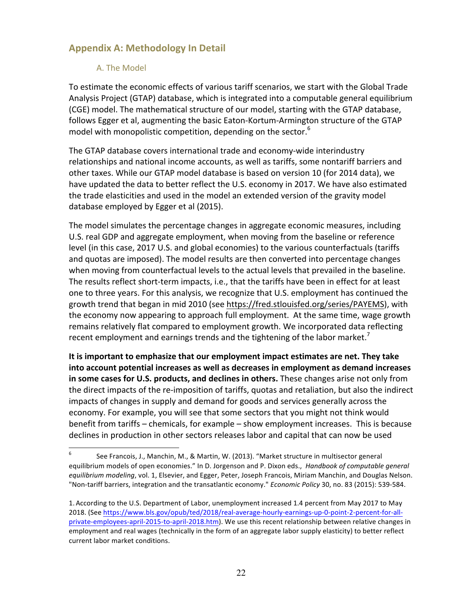# **Appendix A: Methodology In Detail**

#### A. The Model

To estimate the economic effects of various tariff scenarios, we start with the Global Trade Analysis Project (GTAP) database, which is integrated into a computable general equilibrium (CGE) model. The mathematical structure of our model, starting with the GTAP database, follows Egger et al, augmenting the basic Eaton-Kortum-Armington structure of the GTAP model with monopolistic competition, depending on the sector.<sup>6</sup>

The GTAP database covers international trade and economy-wide interindustry relationships and national income accounts, as well as tariffs, some nontariff barriers and other taxes. While our GTAP model database is based on version 10 (for 2014 data), we have updated the data to better reflect the U.S. economy in 2017. We have also estimated the trade elasticities and used in the model an extended version of the gravity model database employed by Egger et al (2015).

The model simulates the percentage changes in aggregate economic measures, including U.S. real GDP and aggregate employment, when moving from the baseline or reference level (in this case, 2017 U.S. and global economies) to the various counterfactuals (tariffs and quotas are imposed). The model results are then converted into percentage changes when moving from counterfactual levels to the actual levels that prevailed in the baseline. The results reflect short-term impacts, i.e., that the tariffs have been in effect for at least one to three years. For this analysis, we recognize that U.S. employment has continued the growth trend that began in mid 2010 (see https://fred.stlouisfed.org/series/PAYEMS), with the economy now appearing to approach full employment. At the same time, wage growth remains relatively flat compared to employment growth. We incorporated data reflecting recent employment and earnings trends and the tightening of the labor market.<sup>7</sup>

It is important to emphasize that our employment impact estimates are net. They take into account potential increases as well as decreases in employment as demand increases in some cases for U.S. products, and declines in others. These changes arise not only from the direct impacts of the re-imposition of tariffs, quotas and retaliation, but also the indirect impacts of changes in supply and demand for goods and services generally across the economy. For example, you will see that some sectors that you might not think would benefit from tariffs – chemicals, for example – show employment increases. This is because declines in production in other sectors releases labor and capital that can now be used

<sup>&</sup>lt;sup>6</sup> See Francois, J., Manchin, M., & Martin, W. (2013). "Market structure in multisector general equilibrium models of open economies." In D. Jorgenson and P. Dixon eds., *Handbook of computable general* equilibrium modeling, vol. 1, Elsevier, and Egger, Peter, Joseph Francois, Miriam Manchin, and Douglas Nelson. "Non-tariff barriers, integration and the transatlantic economy." *Economic Policy* 30, no. 83 (2015): 539-584.

<sup>1.</sup> According to the U.S. Department of Labor, unemployment increased 1.4 percent from May 2017 to May 2018. (See https://www.bls.gov/opub/ted/2018/real-average-hourly-earnings-up-0-point-2-percent-for-allprivate-employees-april-2015-to-april-2018.htm). We use this recent relationship between relative changes in employment and real wages (technically in the form of an aggregate labor supply elasticity) to better reflect current labor market conditions.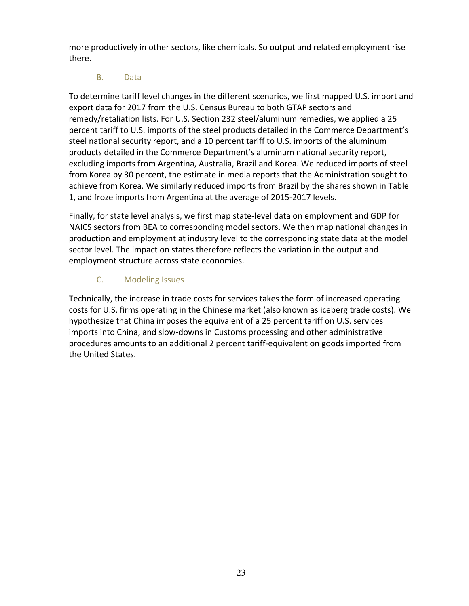more productively in other sectors, like chemicals. So output and related employment rise there.

## B. Data

To determine tariff level changes in the different scenarios, we first mapped U.S. import and export data for 2017 from the U.S. Census Bureau to both GTAP sectors and remedy/retaliation lists. For U.S. Section 232 steel/aluminum remedies, we applied a 25 percent tariff to U.S. imports of the steel products detailed in the Commerce Department's steel national security report, and a 10 percent tariff to U.S. imports of the aluminum products detailed in the Commerce Department's aluminum national security report, excluding imports from Argentina, Australia, Brazil and Korea. We reduced imports of steel from Korea by 30 percent, the estimate in media reports that the Administration sought to achieve from Korea. We similarly reduced imports from Brazil by the shares shown in Table 1, and froze imports from Argentina at the average of 2015-2017 levels.

Finally, for state level analysis, we first map state-level data on employment and GDP for NAICS sectors from BEA to corresponding model sectors. We then map national changes in production and employment at industry level to the corresponding state data at the model sector level. The impact on states therefore reflects the variation in the output and employment structure across state economies.

# C. Modeling Issues

Technically, the increase in trade costs for services takes the form of increased operating costs for U.S. firms operating in the Chinese market (also known as iceberg trade costs). We hypothesize that China imposes the equivalent of a 25 percent tariff on U.S. services imports into China, and slow-downs in Customs processing and other administrative procedures amounts to an additional 2 percent tariff-equivalent on goods imported from the United States.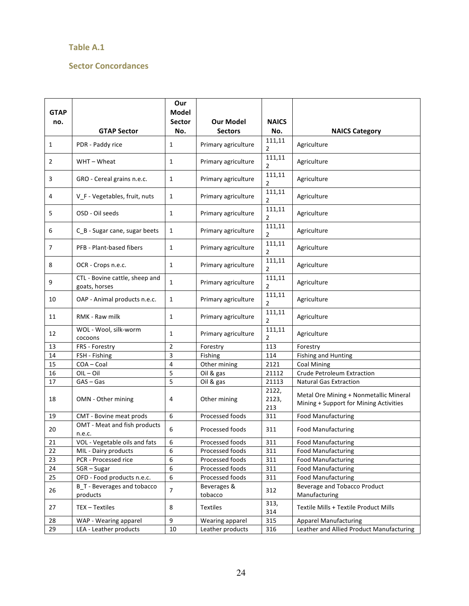#### **Table A.1**

#### **Sector Concordances**

| <b>GTAP</b> |                                                 | Our<br>Model     |                        |                       |                                                                                  |  |
|-------------|-------------------------------------------------|------------------|------------------------|-----------------------|----------------------------------------------------------------------------------|--|
| no.         |                                                 | <b>Sector</b>    | Our Model              | <b>NAICS</b>          |                                                                                  |  |
|             | <b>GTAP Sector</b>                              | No.              | <b>Sectors</b>         | No.                   | <b>NAICS Category</b>                                                            |  |
| 1           | PDR - Paddy rice                                | 1                | Primary agriculture    | 111,11<br>2           | Agriculture                                                                      |  |
| 2           | WHT-Wheat                                       | 1                | Primary agriculture    | 111,11<br>2           | Agriculture                                                                      |  |
| 3           | GRO - Cereal grains n.e.c.                      | 1                | Primary agriculture    | 111,11<br>2           | Agriculture                                                                      |  |
| 4           | V_F - Vegetables, fruit, nuts                   | $\mathbf{1}$     | Primary agriculture    | 111,11<br>2           | Agriculture                                                                      |  |
| 5           | OSD - Oil seeds                                 | $\mathbf{1}$     | Primary agriculture    | 111,11<br>2           | Agriculture                                                                      |  |
| 6           | C_B - Sugar cane, sugar beets                   | $\mathbf{1}$     | Primary agriculture    | 111,11<br>2           | Agriculture                                                                      |  |
| 7           | PFB - Plant-based fibers                        | $\mathbf{1}$     | Primary agriculture    | 111,11<br>2           | Agriculture                                                                      |  |
| 8           | OCR - Crops n.e.c.                              | $\mathbf{1}$     | Primary agriculture    | 111,11<br>2           | Agriculture                                                                      |  |
| 9           | CTL - Bovine cattle, sheep and<br>goats, horses | $\mathbf{1}$     | Primary agriculture    | 111,11<br>2           | Agriculture                                                                      |  |
| 10          | OAP - Animal products n.e.c.                    | $\mathbf{1}$     | Primary agriculture    | 111,11<br>2           | Agriculture                                                                      |  |
| 11          | RMK - Raw milk                                  | $\mathbf{1}$     | Primary agriculture    | 111,11<br>2           | Agriculture                                                                      |  |
| 12          | WOL - Wool, silk-worm<br>cocoons                | 1                | Primary agriculture    | 111,11<br>2           | Agriculture                                                                      |  |
| 13          | FRS - Forestry                                  | $\overline{2}$   | Forestry               | 113                   | Forestry                                                                         |  |
| 14          | FSH - Fishing                                   | 3                | Fishing                | 114                   | <b>Fishing and Hunting</b>                                                       |  |
| 15          | COA-Coal                                        | 4                | Other mining           | 2121                  | <b>Coal Mining</b>                                                               |  |
| 16          | $OIL - Oil$                                     | 5                | Oil & gas              | 21112                 | <b>Crude Petroleum Extraction</b>                                                |  |
| 17          | $GAS - Gas$                                     | 5                | Oil & gas              | 21113                 | <b>Natural Gas Extraction</b>                                                    |  |
| 18          | OMN - Other mining                              | 4                | Other mining           | 2122,<br>2123,<br>213 | Metal Ore Mining + Nonmetallic Mineral<br>Mining + Support for Mining Activities |  |
| 19          | CMT - Bovine meat prods                         | 6                | Processed foods        | 311                   | Food Manufacturing                                                               |  |
| 20          | OMT - Meat and fish products<br>n.e.c.          | 6                | Processed foods        | 311                   | <b>Food Manufacturing</b>                                                        |  |
| 21          | VOL - Vegetable oils and fats                   | $\boldsymbol{6}$ | Processed foods        | 311                   | Food Manufacturing                                                               |  |
| 22          | MIL - Dairy products                            | 6                | Processed foods        | 311                   | <b>Food Manufacturing</b>                                                        |  |
| 23          | PCR - Processed rice                            | 6                | Processed foods        | 311                   | <b>Food Manufacturing</b>                                                        |  |
| 24          | $SGR - Sugar$                                   | 6                | Processed foods        | 311                   | <b>Food Manufacturing</b>                                                        |  |
| 25          | OFD - Food products n.e.c.                      | 6                | Processed foods        | 311                   | <b>Food Manufacturing</b>                                                        |  |
| 26          | <b>B_T</b> - Beverages and tobacco<br>products  | $\overline{7}$   | Beverages &<br>tobacco | 312                   | Beverage and Tobacco Product<br>Manufacturing                                    |  |
| 27          | TEX - Textiles                                  | 8                | <b>Textiles</b>        | 313,<br>314           | Textile Mills + Textile Product Mills                                            |  |
| 28          | WAP - Wearing apparel                           | 9                | Wearing apparel        | 315                   | <b>Apparel Manufacturing</b>                                                     |  |
| 29          | LEA - Leather products                          | 10               | Leather products       | 316                   | Leather and Allied Product Manufacturing                                         |  |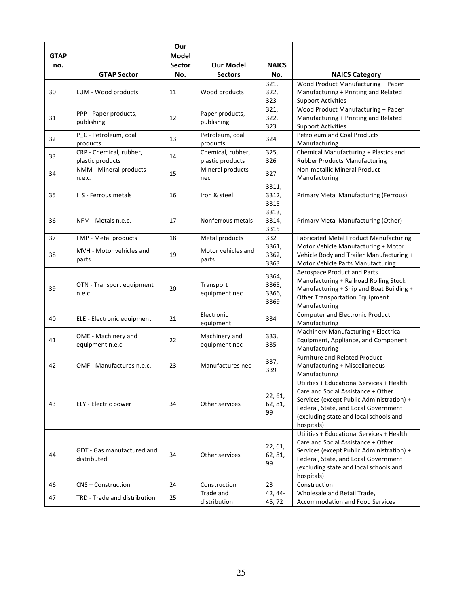| <b>GTAP</b> |                                             | Our<br><b>Model</b> |                                       |                |                                                                                 |
|-------------|---------------------------------------------|---------------------|---------------------------------------|----------------|---------------------------------------------------------------------------------|
| no.         |                                             | <b>Sector</b>       | <b>Our Model</b>                      | <b>NAICS</b>   |                                                                                 |
|             | <b>GTAP Sector</b>                          | No.                 | <b>Sectors</b>                        | No.            | <b>NAICS Category</b>                                                           |
|             |                                             |                     |                                       | 321,           | Wood Product Manufacturing + Paper                                              |
| 30          | LUM - Wood products                         | 11                  | Wood products                         | 322,           | Manufacturing + Printing and Related                                            |
|             |                                             |                     |                                       | 323            | <b>Support Activities</b>                                                       |
|             | PPP - Paper products,                       |                     | Paper products,                       | 321,           | Wood Product Manufacturing + Paper                                              |
| 31          | publishing                                  | 12                  | publishing                            | 322,           | Manufacturing + Printing and Related                                            |
|             |                                             |                     |                                       | 323            | <b>Support Activities</b>                                                       |
| 32          | P_C - Petroleum, coal                       | 13                  | Petroleum, coal                       | 324            | <b>Petroleum and Coal Products</b>                                              |
|             | products                                    |                     | products                              |                | Manufacturing                                                                   |
| 33          | CRP - Chemical, rubber,<br>plastic products | 14                  | Chemical, rubber,<br>plastic products | 325,<br>326    | Chemical Manufacturing + Plastics and<br><b>Rubber Products Manufacturing</b>   |
|             | NMM - Mineral products                      |                     | Mineral products                      |                | Non-metallic Mineral Product                                                    |
| 34          | n.e.c.                                      | 15                  | nec                                   | 327            | Manufacturing                                                                   |
|             |                                             |                     |                                       | 3311,          |                                                                                 |
| 35          | I_S - Ferrous metals                        | 16                  | Iron & steel                          | 3312,          | Primary Metal Manufacturing (Ferrous)                                           |
|             |                                             |                     |                                       | 3315           |                                                                                 |
|             |                                             |                     |                                       | 3313,          |                                                                                 |
| 36          | NFM - Metals n.e.c.                         | 17                  | Nonferrous metals                     | 3314,          | Primary Metal Manufacturing (Other)                                             |
|             |                                             |                     |                                       | 3315           |                                                                                 |
| 37          | FMP - Metal products                        | 18                  | Metal products                        | 332            | Fabricated Metal Product Manufacturing                                          |
| 38          | MVH - Motor vehicles and                    | 19                  | Motor vehicles and                    | 3361,<br>3362, | Motor Vehicle Manufacturing + Motor<br>Vehicle Body and Trailer Manufacturing + |
|             | parts                                       |                     | parts                                 | 3363           | Motor Vehicle Parts Manufacturing                                               |
|             |                                             |                     |                                       |                | Aerospace Product and Parts                                                     |
|             |                                             |                     |                                       | 3364,          | Manufacturing + Railroad Rolling Stock                                          |
| 39          | OTN - Transport equipment                   | 20                  | Transport                             | 3365,          | Manufacturing + Ship and Boat Building +                                        |
|             | n.e.c.                                      |                     | equipment nec                         | 3366,<br>3369  | <b>Other Transportation Equipment</b>                                           |
|             |                                             |                     |                                       |                | Manufacturing                                                                   |
| 40          | ELE - Electronic equipment                  | 21                  | Electronic                            | 334            | <b>Computer and Electronic Product</b>                                          |
|             |                                             |                     | equipment                             |                | Manufacturing                                                                   |
| 41          | OME - Machinery and                         | 22                  | Machinery and                         | 333,           | Machinery Manufacturing + Electrical<br>Equipment, Appliance, and Component     |
|             | equipment n.e.c.                            |                     | equipment nec                         | 335            | Manufacturing                                                                   |
|             |                                             |                     |                                       |                | <b>Furniture and Related Product</b>                                            |
| 42          | OMF - Manufactures n.e.c.                   | 23                  | Manufactures nec                      | 337,           | Manufacturing + Miscellaneous                                                   |
|             |                                             |                     |                                       | 339            | Manufacturing                                                                   |
|             |                                             |                     |                                       |                | Utilities + Educational Services + Health                                       |
|             |                                             |                     |                                       | 22, 61,        | Care and Social Assistance + Other                                              |
| 43          | ELY - Electric power                        | 34                  | Other services                        | 62, 81,        | Services (except Public Administration) +                                       |
|             |                                             |                     |                                       | 99             | Federal, State, and Local Government<br>(excluding state and local schools and  |
|             |                                             |                     |                                       |                | hospitals)                                                                      |
|             |                                             |                     |                                       |                | Utilities + Educational Services + Health                                       |
|             |                                             |                     |                                       |                | Care and Social Assistance + Other                                              |
|             | GDT - Gas manufactured and                  | 34                  |                                       | 22, 61,        | Services (except Public Administration) +                                       |
| 44          | distributed                                 |                     | Other services                        | 62, 81,<br>99  | Federal, State, and Local Government                                            |
|             |                                             |                     |                                       |                | (excluding state and local schools and                                          |
|             |                                             |                     |                                       |                | hospitals)                                                                      |
| 46          | CNS - Construction                          | 24                  | Construction                          | 23             | Construction                                                                    |
| 47          | TRD - Trade and distribution                | 25                  | Trade and                             | 42, 44-        | Wholesale and Retail Trade,                                                     |
|             |                                             |                     | distribution                          | 45, 72         | Accommodation and Food Services                                                 |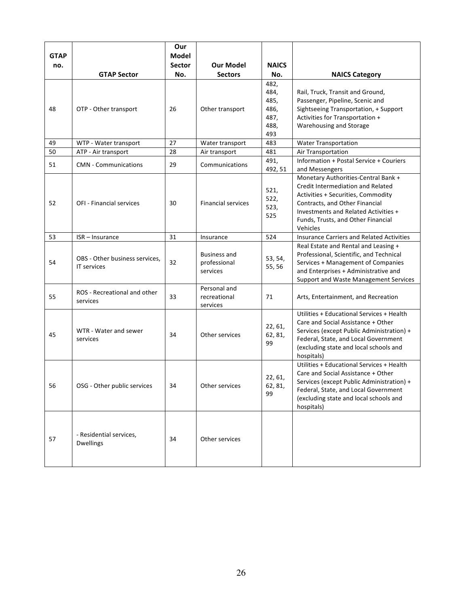| <b>GTAP</b><br>no. |                                                      | Our<br>Model<br><b>Sector</b> | <b>Our Model</b>                                | <b>NAICS</b>                                        |                                                                                                                                                                                                                                                   |
|--------------------|------------------------------------------------------|-------------------------------|-------------------------------------------------|-----------------------------------------------------|---------------------------------------------------------------------------------------------------------------------------------------------------------------------------------------------------------------------------------------------------|
|                    | <b>GTAP Sector</b>                                   | No.                           | <b>Sectors</b>                                  | No.                                                 | <b>NAICS Category</b>                                                                                                                                                                                                                             |
| 48                 | OTP - Other transport                                | 26                            | Other transport                                 | 482,<br>484,<br>485,<br>486,<br>487,<br>488,<br>493 | Rail, Truck, Transit and Ground,<br>Passenger, Pipeline, Scenic and<br>Sightseeing Transportation, + Support<br>Activities for Transportation +<br>Warehousing and Storage                                                                        |
| 49                 | WTP - Water transport                                | 27                            | Water transport                                 | 483                                                 | <b>Water Transportation</b>                                                                                                                                                                                                                       |
| 50                 | ATP - Air transport                                  | 28                            | Air transport                                   | 481                                                 | Air Transportation                                                                                                                                                                                                                                |
| 51                 | <b>CMN</b> - Communications                          | 29                            | Communications                                  | 491,<br>492, 51                                     | Information + Postal Service + Couriers<br>and Messengers                                                                                                                                                                                         |
| 52                 | <b>OFI - Financial services</b>                      | 30                            | <b>Financial services</b>                       | 521,<br>522,<br>523,<br>525                         | Monetary Authorities-Central Bank +<br><b>Credit Intermediation and Related</b><br>Activities + Securities, Commodity<br>Contracts, and Other Financial<br>Investments and Related Activities +<br>Funds, Trusts, and Other Financial<br>Vehicles |
| 53                 | ISR - Insurance                                      | 31                            | Insurance                                       | 524                                                 | <b>Insurance Carriers and Related Activities</b>                                                                                                                                                                                                  |
| 54                 | OBS - Other business services,<br><b>IT services</b> | 32                            | <b>Business and</b><br>professional<br>services | 53, 54,<br>55, 56                                   | Real Estate and Rental and Leasing +<br>Professional, Scientific, and Technical<br>Services + Management of Companies<br>and Enterprises + Administrative and<br>Support and Waste Management Services                                            |
| 55                 | ROS - Recreational and other<br>services             | 33                            | Personal and<br>recreational<br>services        | 71                                                  | Arts, Entertainment, and Recreation                                                                                                                                                                                                               |
| 45                 | WTR - Water and sewer<br>services                    | 34                            | Other services                                  | 22, 61,<br>62, 81,<br>99                            | Utilities + Educational Services + Health<br>Care and Social Assistance + Other<br>Services (except Public Administration) +<br>Federal, State, and Local Government<br>(excluding state and local schools and<br>hospitals)                      |
| 56                 | OSG - Other public services                          | 34                            | Other services                                  | 22, 61,<br>62, 81,<br>99                            | Utilities + Educational Services + Health<br>Care and Social Assistance + Other<br>Services (except Public Administration) +<br>Federal, State, and Local Government<br>(excluding state and local schools and<br>hospitals)                      |
| 57                 | - Residential services,<br><b>Dwellings</b>          | 34                            | Other services                                  |                                                     |                                                                                                                                                                                                                                                   |